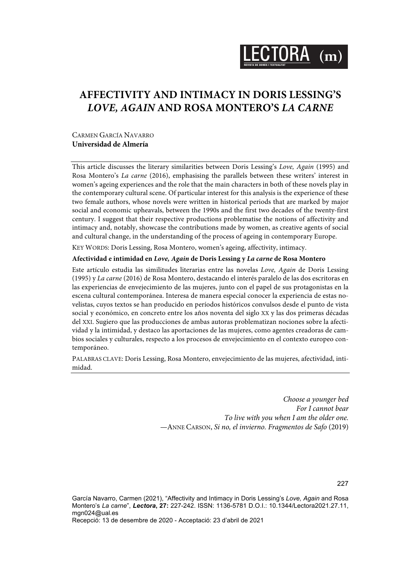

# **AFFECTIVITY AND INTIMACY IN DORIS LESSING'S**  *LOVE, AGAIN* **AND ROSA MONTERO'S** *LA CARNE*

CARMEN GARCÍA NAVARRO **Universidad de Almería**

This article discusses the literary similarities between Doris Lessing's *Love, Again* (1995) and Rosa Montero's *La carne* (2016), emphasising the parallels between these writers' interest in women's ageing experiences and the role that the main characters in both of these novels play in the contemporary cultural scene. Of particular interest for this analysis is the experience of these two female authors, whose novels were written in historical periods that are marked by major social and economic upheavals, between the 1990s and the first two decades of the twenty-first century. I suggest that their respective productions problematise the notions of affectivity and intimacy and, notably, showcase the contributions made by women, as creative agents of social and cultural change, in the understanding of the process of ageing in contemporary Europe.

KEY WORDS: Doris Lessing, Rosa Montero, women's ageing, affectivity, intimacy.

#### **Afectividad e intimidad en** *Love, Again* **de Doris Lessing y** *La carne* **de Rosa Montero**

Este artículo estudia las similitudes literarias entre las novelas *Love, Again* de Doris Lessing (1995) y *La carne* (2016) de Rosa Montero, destacando el interés paralelo de las dos escritoras en las experiencias de envejecimiento de las mujeres, junto con el papel de sus protagonistas en la escena cultural contemporánea. Interesa de manera especial conocer la experiencia de estas novelistas, cuyos textos se han producido en períodos históricos convulsos desde el punto de vista social y económico, en concreto entre los años noventa del siglo XX y las dos primeras décadas del XXI. Sugiero que las producciones de ambas autoras problematizan nociones sobre la afectividad y la intimidad, y destaco las aportaciones de las mujeres, como agentes creadoras de cambios sociales y culturales, respecto a los procesos de envejecimiento en el contexto europeo contemporáneo.

PALABRAS CLAVE: Doris Lessing, Rosa Montero, envejecimiento de las mujeres, afectividad, intimidad.

> *Choose a younger bed For I cannot bear To live with you when I am the older one.* —ANNE CARSON, *Si no, el invierno. Fragmentos de Safo* (2019)

García Navarro, Carmen (2021), "Affectivity and Intimacy in Doris Lessing's *Love, Again* and Rosa Montero's *La carne*", *Lectora***, 27:** 227-242. ISSN: 1136-5781 D.O.I.: 10.1344/Lectora2021.27.11, mgn024@ual.es

Recepció: 13 de desembre de 2020 - Acceptació: 23 d'abril de 2021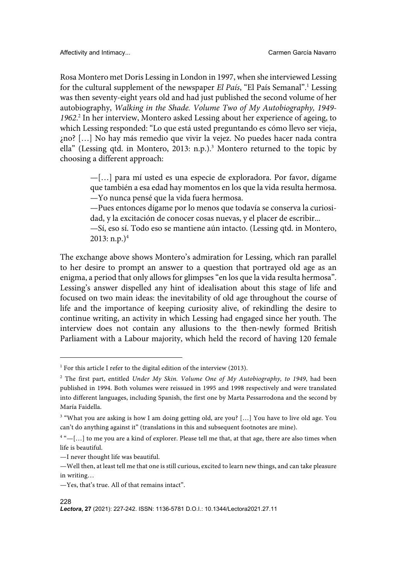Rosa Montero met Doris Lessing in London in 1997, when she interviewed Lessing for the cultural supplement of the newspaper *El País*, "El País Semanal".1 Lessing was then seventy-eight years old and had just published the second volume of her autobiography, *Walking in the Shade. Volume Two of My Autobiography, 1949- 1962*. <sup>2</sup> In her interview, Montero asked Lessing about her experience of ageing, to which Lessing responded: "Lo que está usted preguntando es cómo llevo ser vieja, ¿no? […] No hay más remedio que vivir la vejez. No puedes hacer nada contra ella" (Lessing qtd. in Montero, 2013: n.p.).<sup>3</sup> Montero returned to the topic by choosing a different approach:

> —[…] para mí usted es una especie de exploradora. Por favor, dígame que también a esa edad hay momentos en los que la vida resulta hermosa. —Yo nunca pensé que la vida fuera hermosa.

> —Pues entonces dígame por lo menos que todavía se conserva la curiosidad, y la excitación de conocer cosas nuevas, y el placer de escribir...

> —Sí, eso sí. Todo eso se mantiene aún intacto. (Lessing qtd. in Montero,  $2013: n.p.$ <sup>4</sup>

The exchange above shows Montero's admiration for Lessing, which ran parallel to her desire to prompt an answer to a question that portrayed old age as an enigma, a period that only allows for glimpses "en los que la vida resulta hermosa". Lessing's answer dispelled any hint of idealisation about this stage of life and focused on two main ideas: the inevitability of old age throughout the course of life and the importance of keeping curiosity alive, of rekindling the desire to continue writing, an activity in which Lessing had engaged since her youth. The interview does not contain any allusions to the then-newly formed British Parliament with a Labour majority, which held the record of having 120 female

#### 228

<sup>&</sup>lt;sup>1</sup> For this article I refer to the digital edition of the interview (2013).

<sup>2</sup> The first part, entitled *Under My Skin. Volume One of My Autobiography, to 1949*, had been published in 1994. Both volumes were reissued in 1995 and 1998 respectively and were translated into different languages, including Spanish, the first one by Marta Pessarrodona and the second by María Faidella.

<sup>&</sup>lt;sup>3</sup> "What you are asking is how I am doing getting old, are you? [...] You have to live old age. You can't do anything against it" (translations in this and subsequent footnotes are mine).

 $4$ " $[-[...]$  to me you are a kind of explorer. Please tell me that, at that age, there are also times when life is beautiful.

<sup>—</sup>I never thought life was beautiful.

<sup>—</sup>Well then, at least tell me that one is still curious, excited to learn new things, and can take pleasure in writing…

<sup>—</sup>Yes, that's true. All of that remains intact".

*Lectora***, 27** (2021): 227-242. ISSN: 1136-5781 D.O.I.: 10.1344/Lectora2021.27.11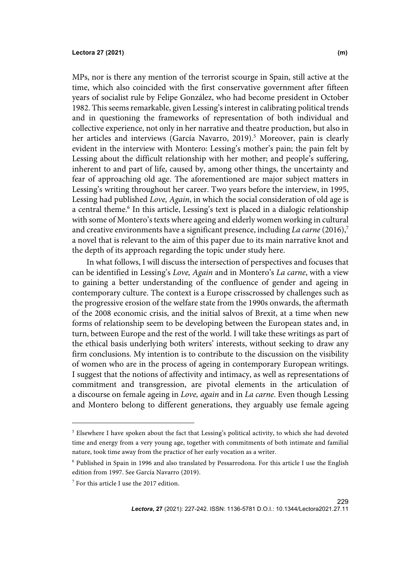MPs, nor is there any mention of the terrorist scourge in Spain, still active at the time, which also coincided with the first conservative government after fifteen years of socialist rule by Felipe González, who had become president in October 1982. This seems remarkable, given Lessing's interest in calibrating political trends and in questioning the frameworks of representation of both individual and collective experience, not only in her narrative and theatre production, but also in her articles and interviews (García Navarro, 2019). <sup>5</sup> Moreover, pain is clearly evident in the interview with Montero: Lessing's mother's pain; the pain felt by Lessing about the difficult relationship with her mother; and people's suffering, inherent to and part of life, caused by, among other things, the uncertainty and fear of approaching old age. The aforementioned are major subject matters in Lessing's writing throughout her career. Two years before the interview, in 1995, Lessing had published *Love, Again*, in which the social consideration of old age is a central theme.<sup>6</sup> In this article, Lessing's text is placed in a dialogic relationship with some of Montero's texts where ageing and elderly women working in cultural and creative environments have a significant presence, including *La carne* (2016),<sup>7</sup> a novel that is relevant to the aim of this paper due to its main narrative knot and the depth of its approach regarding the topic under study here.

In what follows, I will discuss the intersection of perspectives and focuses that can be identified in Lessing's *Love, Again* and in Montero's *La carne*, with a view to gaining a better understanding of the confluence of gender and ageing in contemporary culture. The context is a Europe crisscrossed by challenges such as the progressive erosion of the welfare state from the 1990s onwards, the aftermath of the 2008 economic crisis, and the initial salvos of Brexit, at a time when new forms of relationship seem to be developing between the European states and, in turn, between Europe and the rest of the world. I will take these writings as part of the ethical basis underlying both writers' interests, without seeking to draw any firm conclusions. My intention is to contribute to the discussion on the visibility of women who are in the process of ageing in contemporary European writings. I suggest that the notions of affectivity and intimacy, as well as representations of commitment and transgression, are pivotal elements in the articulation of a discourse on female ageing in *Love, again* and in *La carne*. Even though Lessing and Montero belong to different generations, they arguably use female ageing

229

<sup>&</sup>lt;sup>5</sup> Elsewhere I have spoken about the fact that Lessing's political activity, to which she had devoted time and energy from a very young age, together with commitments of both intimate and familial nature, took time away from the practice of her early vocation as a writer.

<sup>6</sup> Published in Spain in 1996 and also translated by Pessarrodona. For this article I use the English edition from 1997. See García Navarro (2019).

 $7$  For this article I use the 2017 edition.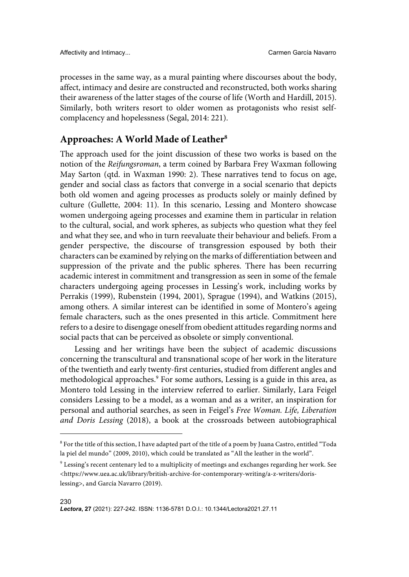processes in the same way, as a mural painting where discourses about the body, affect, intimacy and desire are constructed and reconstructed, both works sharing their awareness of the latter stages of the course of life (Worth and Hardill, 2015). Similarly, both writers resort to older women as protagonists who resist selfcomplacency and hopelessness (Segal, 2014: 221).

## **Approaches: A World Made of Leather8**

The approach used for the joint discussion of these two works is based on the notion of the *Reifungsroman*, a term coined by Barbara Frey Waxman following May Sarton (qtd. in Waxman 1990: 2). These narratives tend to focus on age, gender and social class as factors that converge in a social scenario that depicts both old women and ageing processes as products solely or mainly defined by culture (Gullette, 2004: 11). In this scenario, Lessing and Montero showcase women undergoing ageing processes and examine them in particular in relation to the cultural, social, and work spheres, as subjects who question what they feel and what they see, and who in turn reevaluate their behaviour and beliefs. From a gender perspective, the discourse of transgression espoused by both their characters can be examined by relying on the marks of differentiation between and suppression of the private and the public spheres. There has been recurring academic interest in commitment and transgression as seen in some of the female characters undergoing ageing processes in Lessing's work, including works by Perrakis (1999), Rubenstein (1994, 2001), Sprague (1994), and Watkins (2015), among others. A similar interest can be identified in some of Montero's ageing female characters, such as the ones presented in this article. Commitment here refers to a desire to disengage oneself from obedient attitudesregarding norms and social pacts that can be perceived as obsolete or simply conventional.

Lessing and her writings have been the subject of academic discussions concerning the transcultural and transnational scope of her work in the literature of the twentieth and early twenty-first centuries, studied from different angles and methodological approaches.<sup>9</sup> For some authors, Lessing is a guide in this area, as Montero told Lessing in the interview referred to earlier. Similarly, Lara Feigel considers Lessing to be a model, as a woman and as a writer, an inspiration for personal and authorial searches, as seen in Feigel's *Free Woman. Life, Liberation and Doris Lessing* (2018), a book at the crossroads between autobiographical

<sup>8</sup> For the title of this section, I have adapted part of the title of a poem by Juana Castro, entitled "Toda la piel del mundo" (2009, 2010), which could be translated as "All the leather in the world".

 $^9$  Lessing's recent centenary led to a multiplicity of meetings and exchanges regarding her work. See <https://www.uea.ac.uk/library/british-archive-for-contemporary-writing/a-z-writers/dorislessing>, and García Navarro (2019).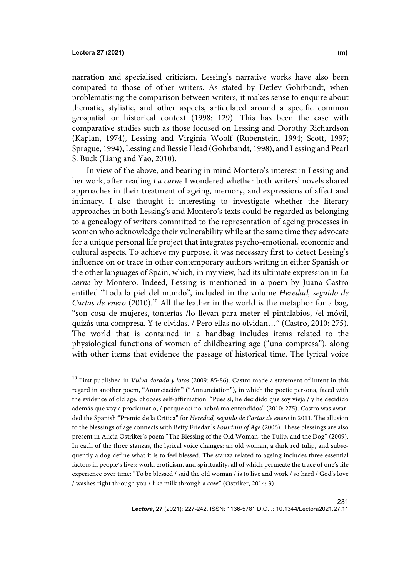#### **Lectora 27 (2021) (m)**

narration and specialised criticism. Lessing's narrative works have also been compared to those of other writers. As stated by Detlev Gohrbandt, when problematising the comparison between writers, it makes sense to enquire about thematic, stylistic, and other aspects, articulated around a specific common geospatial or historical context (1998: 129). This has been the case with comparative studies such as those focused on Lessing and Dorothy Richardson (Kaplan, 1974), Lessing and Virginia Woolf (Rubenstein, 1994; Scott, 1997; Sprague, 1994), Lessing and Bessie Head (Gohrbandt, 1998), and Lessing and Pearl S. Buck (Liang and Yao, 2010).

In view of the above, and bearing in mind Montero's interest in Lessing and her work, after reading *La carne* I wondered whether both writers' novels shared approaches in their treatment of ageing, memory, and expressions of affect and intimacy. I also thought it interesting to investigate whether the literary approaches in both Lessing's and Montero's texts could be regarded as belonging to a genealogy of writers committed to the representation of ageing processes in women who acknowledge their vulnerability while at the same time they advocate for a unique personal life project that integrates psycho-emotional, economic and cultural aspects. To achieve my purpose, it was necessary first to detect Lessing's influence on or trace in other contemporary authors writing in either Spanish or the other languages of Spain, which, in my view, had its ultimate expression in *La carne* by Montero. Indeed, Lessing is mentioned in a poem by Juana Castro entitled "Toda la piel del mundo", included in the volume *Heredad, seguido de Cartas de enero* (2010).<sup>10</sup> All the leather in the world is the metaphor for a bag, "son cosa de mujeres, tonterías /lo llevan para meter el pintalabios, /el móvil, quizás una compresa. Y te olvidas. / Pero ellas no olvidan…" (Castro, 2010: 275). The world that is contained in a handbag includes items related to the physiological functions of women of childbearing age ("una compresa"), along with other items that evidence the passage of historical time. The lyrical voice

<sup>10</sup> First published in *Vulva dorada y lotos* (2009: 85-86). Castro made a statement of intent in this regard in another poem, "Anunciación" ("Annunciation"), in which the poetic persona, faced with the evidence of old age, chooses self-affirmation: "Pues sí, he decidido que soy vieja / y he decidido además que voy a proclamarlo, / porque así no habrá malentendidos" (2010: 275). Castro was awarded the Spanish "Premio de la Crítica" for *Heredad, seguido de Cartas de enero* in 2011. The allusion to the blessings of age connects with Betty Friedan's *Fountain of Age* (2006). These blessings are also present in Alicia Ostriker's poem "The Blessing of the Old Woman, the Tulip, and the Dog" (2009). In each of the three stanzas, the lyrical voice changes: an old woman, a dark red tulip, and subsequently a dog define what it is to feel blessed. The stanza related to ageing includes three essential factors in people's lives: work, eroticism, and spirituality, all of which permeate the trace of one's life experience over time: "To be blessed / said the old woman / is to live and work / so hard / God's love / washes right through you / like milk through a cow" (Ostriker, 2014: 3).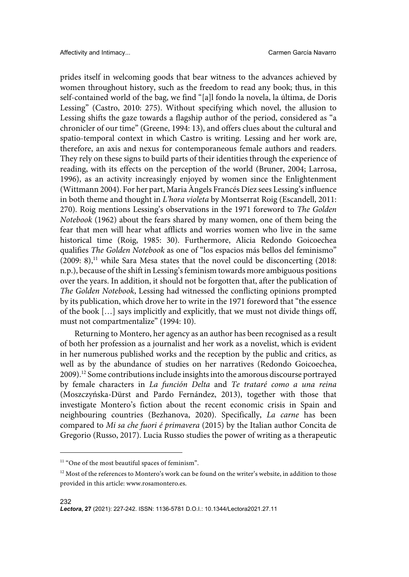prides itself in welcoming goods that bear witness to the advances achieved by women throughout history, such as the freedom to read any book; thus, in this self-contained world of the bag, we find "[a]l fondo la novela, la última, de Doris Lessing" (Castro, 2010: 275). Without specifying which novel, the allusion to Lessing shifts the gaze towards a flagship author of the period, considered as "a chronicler of our time" (Greene, 1994: 13), and offers clues about the cultural and spatio-temporal context in which Castro is writing. Lessing and her work are, therefore, an axis and nexus for contemporaneous female authors and readers. They rely on these signs to build parts of their identities through the experience of reading, with its effects on the perception of the world (Bruner, 2004; Larrosa, 1996), as an activity increasingly enjoyed by women since the Enlightenment (Wittmann 2004). For her part, Maria Àngels Francés Díez sees Lessing's influence in both theme and thought in *L'hora violeta* by Montserrat Roig (Escandell, 2011: 270). Roig mentions Lessing's observations in the 1971 foreword to *The Golden Notebook* (1962) about the fears shared by many women, one of them being the fear that men will hear what afflicts and worries women who live in the same historical time (Roig, 1985: 30). Furthermore, Alicia Redondo Goicoechea qualifies *The Golden Notebook* as one of "los espacios más bellos del feminismo"  $(2009: 8)$ ,<sup>11</sup> while Sara Mesa states that the novel could be disconcerting  $(2018: 100)$ n.p.), because of the shift in Lessing's feminism towards more ambiguous positions over the years. In addition, it should not be forgotten that, after the publication of *The Golden Notebook*, Lessing had witnessed the conflicting opinions prompted by its publication, which drove her to write in the 1971 foreword that "the essence of the book […] says implicitly and explicitly, that we must not divide things off, must not compartmentalize" (1994: 10).

Returning to Montero, her agency as an author has been recognised as a result of both her profession as a journalist and her work as a novelist, which is evident in her numerous published works and the reception by the public and critics, as well as by the abundance of studies on her narratives (Redondo Goicoechea, 2009).12 Some contributions include insights into the amorous discourse portrayed by female characters in *La función Delta* and *Te trataré como a una reina* (Moszczyńska-Dürst and Pardo Fernández, 2013), together with those that investigate Montero's fiction about the recent economic crisis in Spain and neighbouring countries (Bezhanova, 2020). Specifically, *La carne* has been compared to *Mi sa che fuori é primavera* (2015) by the Italian author Concita de Gregorio (Russo, 2017). Lucia Russo studies the power of writing as a therapeutic

<sup>&</sup>lt;sup>11</sup> "One of the most beautiful spaces of feminism".

 $12$  Most of the references to Montero's work can be found on the writer's website, in addition to those provided in this article: www.rosamontero.es.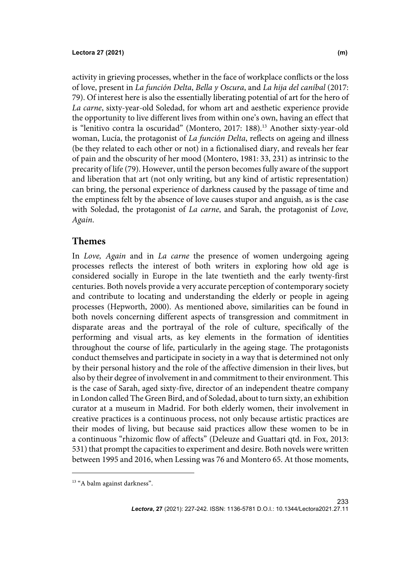activity in grieving processes, whether in the face of workplace conflicts or the loss of love, present in *La función Delta*, *Bella y Oscura*, and *La hija del caníbal* (2017: 79). Of interest here is also the essentially liberating potential of art for the hero of *La carne*, sixty-year-old Soledad, for whom art and aesthetic experience provide the opportunity to live different lives from within one's own, having an effect that is "lenitivo contra la oscuridad" (Montero, 2017: 188).<sup>13</sup> Another sixty-year-old woman, Lucía, the protagonist of *La función Delta*, reflects on ageing and illness (be they related to each other or not) in a fictionalised diary, and reveals her fear of pain and the obscurity of her mood (Montero, 1981: 33, 231) as intrinsic to the precarity of life (79). However, until the person becomes fully aware of the support and liberation that art (not only writing, but any kind of artistic representation) can bring, the personal experience of darkness caused by the passage of time and the emptiness felt by the absence of love causes stupor and anguish, as is the case with Soledad, the protagonist of *La carne*, and Sarah, the protagonist of *Love, Again*.

## **Themes**

In *Love, Again* and in *La carne* the presence of women undergoing ageing processes reflects the interest of both writers in exploring how old age is considered socially in Europe in the late twentieth and the early twenty-first centuries. Both novels provide a very accurate perception of contemporary society and contribute to locating and understanding the elderly or people in ageing processes (Hepworth, 2000). As mentioned above, similarities can be found in both novels concerning different aspects of transgression and commitment in disparate areas and the portrayal of the role of culture, specifically of the performing and visual arts, as key elements in the formation of identities throughout the course of life, particularly in the ageing stage. The protagonists conduct themselves and participate in society in a way that is determined not only by their personal history and the role of the affective dimension in their lives, but also by their degree of involvement in and commitment to their environment. This is the case of Sarah, aged sixty-five, director of an independent theatre company in London called The Green Bird, and of Soledad, about to turn sixty, an exhibition curator at a museum in Madrid. For both elderly women, their involvement in creative practices is a continuous process, not only because artistic practices are their modes of living, but because said practices allow these women to be in a continuous "rhizomic flow of affects" (Deleuze and Guattari qtd. in Fox, 2013: 531) that prompt the capacities to experiment and desire. Both novels were written between 1995 and 2016, when Lessing was 76 and Montero 65. At those moments,

<sup>&</sup>lt;sup>13</sup> "A balm against darkness".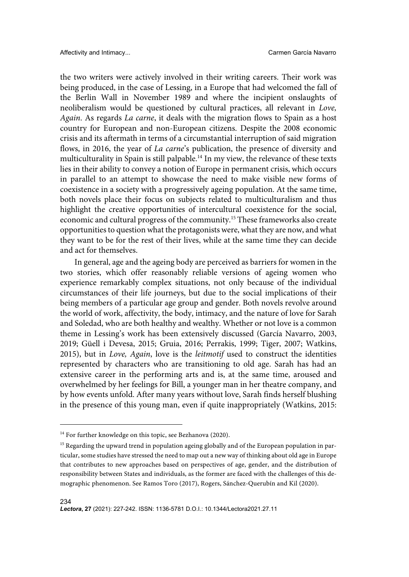the two writers were actively involved in their writing careers. Their work was being produced, in the case of Lessing, in a Europe that had welcomed the fall of the Berlin Wall in November 1989 and where the incipient onslaughts of neoliberalism would be questioned by cultural practices, all relevant in *Love, Again*. As regards *La carne*, it deals with the migration flows to Spain as a host country for European and non-European citizens. Despite the 2008 economic crisis and its aftermath in terms of a circumstantial interruption of said migration flows, in 2016, the year of *La carne*'s publication, the presence of diversity and multiculturality in Spain is still palpable. <sup>14</sup> In my view, the relevance of these texts lies in their ability to convey a notion of Europe in permanent crisis, which occurs in parallel to an attempt to showcase the need to make visible new forms of coexistence in a society with a progressively ageing population. At the same time, both novels place their focus on subjects related to multiculturalism and thus highlight the creative opportunities of intercultural coexistence for the social, economic and cultural progress of the community.15 These frameworks also create opportunities to question what the protagonists were, what they are now, and what they want to be for the rest of their lives, while at the same time they can decide and act for themselves.

In general, age and the ageing body are perceived as barriers for women in the two stories, which offer reasonably reliable versions of ageing women who experience remarkably complex situations, not only because of the individual circumstances of their life journeys, but due to the social implications of their being members of a particular age group and gender. Both novels revolve around the world of work, affectivity, the body, intimacy, and the nature of love for Sarah and Soledad, who are both healthy and wealthy. Whether or not love is a common theme in Lessing's work has been extensively discussed (García Navarro, 2003, 2019; Güell i Devesa, 2015; Gruia, 2016; Perrakis, 1999; Tiger, 2007; Watkins, 2015), but in *Love, Again*, love is the *leitmotif* used to construct the identities represented by characters who are transitioning to old age. Sarah has had an extensive career in the performing arts and is, at the same time, aroused and overwhelmed by her feelings for Bill, a younger man in her theatre company, and by how events unfold. After many years without love, Sarah finds herself blushing in the presence of this young man, even if quite inappropriately (Watkins, 2015:

<sup>&</sup>lt;sup>14</sup> For further knowledge on this topic, see Bezhanova (2020).

<sup>&</sup>lt;sup>15</sup> Regarding the upward trend in population ageing globally and of the European population in particular, some studies have stressed the need to map out a new way of thinking about old age in Europe that contributes to new approaches based on perspectives of age, gender, and the distribution of responsibility between States and individuals, as the former are faced with the challenges of this demographic phenomenon. See Ramos Toro (2017), Rogers, Sánchez-Querubín and Kil (2020).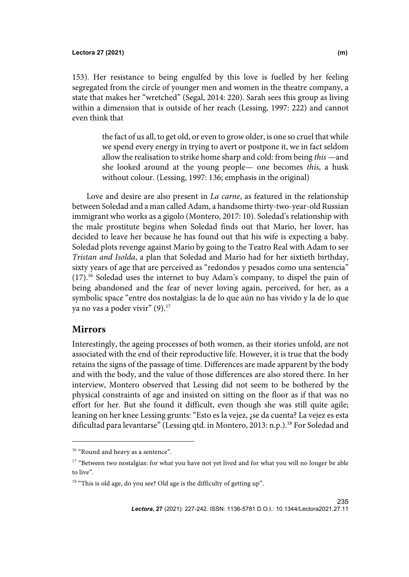153). Her resistance to being engulfed by this love is fuelled by her feeling segregated from the circle of younger men and women in the theatre company, a state that makes her "wretched" (Segal, 2014: 220). Sarah sees this group as living within a dimension that is outside of her reach (Lessing, 1997: 222) and cannot even think that

> the fact of us all, to get old, or even to grow older, is one so cruel that while we spend every energy in trying to avert or postpone it, we in fact seldom allow the realisation to strike home sharp and cold: from being *this* —and she looked around at the young people— one becomes *this*, a husk without colour. (Lessing, 1997: 136; emphasis in the original)

Love and desire are also present in *La carne*, as featured in the relationship between Soledad and a man called Adam, a handsome thirty-two-year-old Russian immigrant who works as a gigolo (Montero, 2017: 10). Soledad's relationship with the male prostitute begins when Soledad finds out that Mario, her lover, has decided to leave her because he has found out that his wife is expecting a baby. Soledad plots revenge against Mario by going to the Teatro Real with Adam to see *Tristan and Isolda*, a plan that Soledad and Mario had for her sixtieth birthday, sixty years of age that are perceived as "redondos y pesados como una sentencia"  $(17).$ <sup>16</sup> Soledad uses the internet to buy Adam's company, to dispel the pain of being abandoned and the fear of never loving again, perceived, for her, as a symbolic space "entre dos nostalgias: la de lo que aún no has vivido y la de lo que ya no vas a poder vivir" (9).<sup>17</sup>

### **Mirrors**

Interestingly, the ageing processes of both women, as their stories unfold, are not associated with the end of their reproductive life. However, it is true that the body retains the signs of the passage of time. Differences are made apparent by the body and with the body, and the value of those differences are also stored there. In her interview, Montero observed that Lessing did not seem to be bothered by the physical constraints of age and insisted on sitting on the floor as if that was no effort for her. But she found it difficult, even though she was still quite agile; leaning on her knee Lessing grunts: "Esto es la vejez, ¿se da cuenta? La vejez es esta dificultad para levantarse" (Lessing qtd. in Montero, 2013: n.p.).<sup>18</sup> For Soledad and

235

<sup>&</sup>lt;sup>16</sup> "Round and heavy as a sentence".

<sup>&</sup>lt;sup>17</sup> "Between two nostalgias: for what you have not yet lived and for what you will no longer be able to live".

<sup>&</sup>lt;sup>18</sup> "This is old age, do you see? Old age is the difficulty of getting up".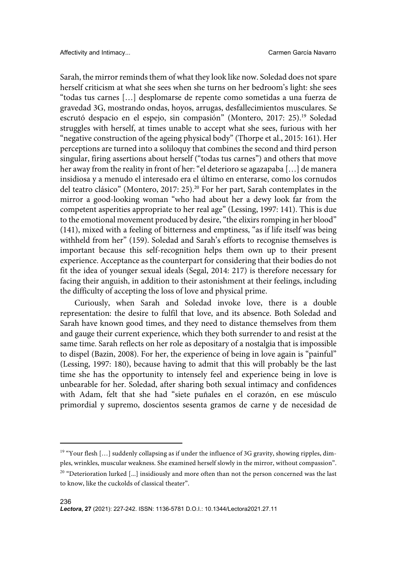Sarah, the mirror reminds them of what they look like now. Soledad does not spare herself criticism at what she sees when she turns on her bedroom's light: she sees "todas tus carnes […] desplomarse de repente como sometidas a una fuerza de gravedad 3G, mostrando ondas, hoyos, arrugas, desfallecimientos musculares. Se escrutó despacio en el espejo, sin compasión" (Montero, 2017: 25).<sup>19</sup> Soledad struggles with herself, at times unable to accept what she sees, furious with her "negative construction of the ageing physical body" (Thorpe et al., 2015: 161). Her perceptions are turned into a soliloquy that combines the second and third person singular, firing assertions about herself ("todas tus carnes") and others that move her away from the reality in front of her: "el deterioro se agazapaba […] de manera insidiosa y a menudo el interesado era el último en enterarse, como los cornudos del teatro clásico" (Montero, 2017: 25).<sup>20</sup> For her part, Sarah contemplates in the mirror a good-looking woman "who had about her a dewy look far from the competent asperities appropriate to her real age" (Lessing, 1997: 141). This is due to the emotional movement produced by desire, "the elixirs romping in her blood" (141), mixed with a feeling of bitterness and emptiness, "as if life itself was being withheld from her" (159). Soledad and Sarah's efforts to recognise themselves is important because this self-recognition helps them own up to their present experience. Acceptance as the counterpart for considering that their bodies do not fit the idea of younger sexual ideals (Segal, 2014: 217) is therefore necessary for facing their anguish, in addition to their astonishment at their feelings, including the difficulty of accepting the loss of love and physical prime.

Curiously, when Sarah and Soledad invoke love, there is a double representation: the desire to fulfil that love, and its absence. Both Soledad and Sarah have known good times, and they need to distance themselves from them and gauge their current experience, which they both surrender to and resist at the same time. Sarah reflects on her role as depositary of a nostalgia that is impossible to dispel (Bazin, 2008). For her, the experience of being in love again is "painful" (Lessing, 1997: 180), because having to admit that this will probably be the last time she has the opportunity to intensely feel and experience being in love is unbearable for her. Soledad, after sharing both sexual intimacy and confidences with Adam, felt that she had "siete puñales en el corazón, en ese músculo primordial y supremo, doscientos sesenta gramos de carne y de necesidad de

<sup>&</sup>lt;sup>19</sup> "Your flesh [...] suddenly collapsing as if under the influence of 3G gravity, showing ripples, dimples, wrinkles, muscular weakness. She examined herself slowly in the mirror, without compassion".

 $20$  "Deterioration lurked [...] insidiously and more often than not the person concerned was the last to know, like the cuckolds of classical theater".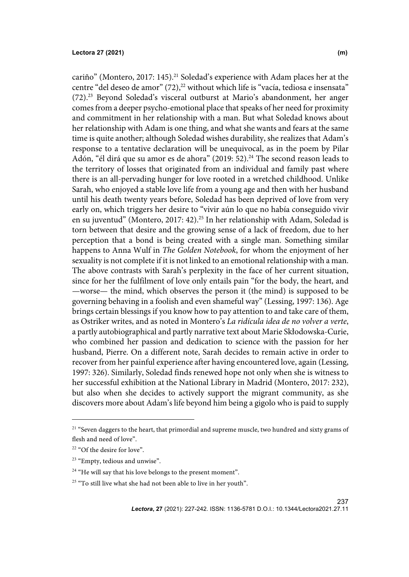237

cariño" (Montero, 2017: 145).<sup>21</sup> Soledad's experience with Adam places her at the centre "del deseo de amor"  $(72)^2$  without which life is "vacía, tediosa e insensata" (72).<sup>23</sup> Beyond Soledad's visceral outburst at Mario's abandonment, her anger comes from a deeper psycho-emotional place that speaks of her need for proximity and commitment in her relationship with a man. But what Soledad knows about her relationship with Adam is one thing, and what she wants and fears at the same time is quite another; although Soledad wishes durability, she realizes that Adam's response to a tentative declaration will be unequivocal, as in the poem by Pilar Adón, "él dirá que su amor es de ahora" (2019: 52).<sup>24</sup> The second reason leads to the territory of losses that originated from an individual and family past where there is an all-pervading hunger for love rooted in a wretched childhood. Unlike Sarah, who enjoyed a stable love life from a young age and then with her husband until his death twenty years before, Soledad has been deprived of love from very early on, which triggers her desire to "vivir aún lo que no había conseguido vivir en su juventud" (Montero, 2017: 42).<sup>25</sup> In her relationship with Adam, Soledad is torn between that desire and the growing sense of a lack of freedom, due to her perception that a bond is being created with a single man. Something similar happens to Anna Wulf in *The Golden Notebook*, for whom the enjoyment of her sexuality is not complete if it is not linked to an emotional relationship with a man. The above contrasts with Sarah's perplexity in the face of her current situation, since for her the fulfilment of love only entails pain "for the body, the heart, and —worse— the mind, which observes the person it (the mind) is supposed to be governing behaving in a foolish and even shameful way" (Lessing, 1997: 136). Age brings certain blessings if you know how to pay attention to and take care of them, as Ostriker writes, and as noted in Montero's *La ridícula idea de no volver a verte*, a partly autobiographical and partly narrative text about Marie Skłodowska-Curie, who combined her passion and dedication to science with the passion for her husband, Pierre. On a different note, Sarah decides to remain active in order to recover from her painful experience after having encountered love, again (Lessing, 1997: 326). Similarly, Soledad finds renewed hope not only when she is witness to her successful exhibition at the National Library in Madrid (Montero, 2017: 232), but also when she decides to actively support the migrant community, as she discovers more about Adam's life beyond him being a gigolo who is paid to supply

 $21$  "Seven daggers to the heart, that primordial and supreme muscle, two hundred and sixty grams of flesh and need of love".

<sup>&</sup>lt;sup>22</sup> "Of the desire for love".

<sup>&</sup>lt;sup>23</sup> "Empty, tedious and unwise".

<sup>&</sup>lt;sup>24</sup> "He will say that his love belongs to the present moment".

<sup>&</sup>lt;sup>25</sup> "To still live what she had not been able to live in her youth".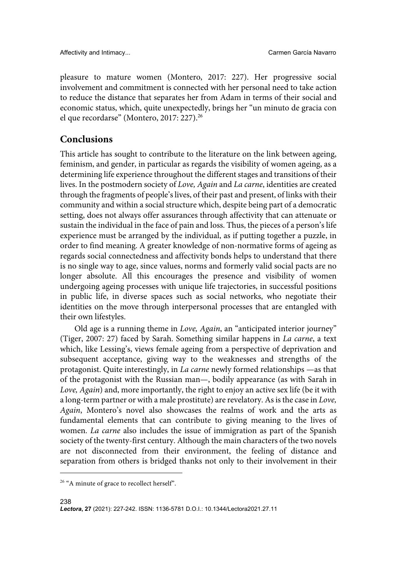pleasure to mature women (Montero, 2017: 227). Her progressive social involvement and commitment is connected with her personal need to take action to reduce the distance that separates her from Adam in terms of their social and economic status, which, quite unexpectedly, brings her "un minuto de gracia con el que recordarse" (Montero, 2017: 227).26

## **Conclusions**

This article has sought to contribute to the literature on the link between ageing, feminism, and gender, in particular as regards the visibility of women ageing, as a determining life experience throughout the different stages and transitions of their lives. In the postmodern society of *Love, Again* and *La carne*, identities are created through the fragments of people's lives, of their past and present, of links with their community and within a social structure which, despite being part of a democratic setting, does not always offer assurances through affectivity that can attenuate or sustain the individual in the face of pain and loss. Thus, the pieces of a person's life experience must be arranged by the individual, as if putting together a puzzle, in order to find meaning. A greater knowledge of non-normative forms of ageing as regards social connectedness and affectivity bonds helps to understand that there is no single way to age, since values, norms and formerly valid social pacts are no longer absolute. All this encourages the presence and visibility of women undergoing ageing processes with unique life trajectories, in successful positions in public life, in diverse spaces such as social networks, who negotiate their identities on the move through interpersonal processes that are entangled with their own lifestyles.

Old age is a running theme in *Love, Again*, an "anticipated interior journey" (Tiger, 2007: 27) faced by Sarah. Something similar happens in *La carne*, a text which, like Lessing's, views female ageing from a perspective of deprivation and subsequent acceptance, giving way to the weaknesses and strengths of the protagonist. Quite interestingly, in *La carne* newly formed relationships —as that of the protagonist with the Russian man—, bodily appearance (as with Sarah in *Love, Again*) and, more importantly, the right to enjoy an active sex life (be it with a long-term partner or with a male prostitute) are revelatory. As is the case in *Love, Again*, Montero's novel also showcases the realms of work and the arts as fundamental elements that can contribute to giving meaning to the lives of women. *La carne* also includes the issue of immigration as part of the Spanish society of the twenty-first century. Although the main characters of the two novels are not disconnected from their environment, the feeling of distance and separation from others is bridged thanks not only to their involvement in their

<sup>&</sup>lt;sup>26</sup> "A minute of grace to recollect herself".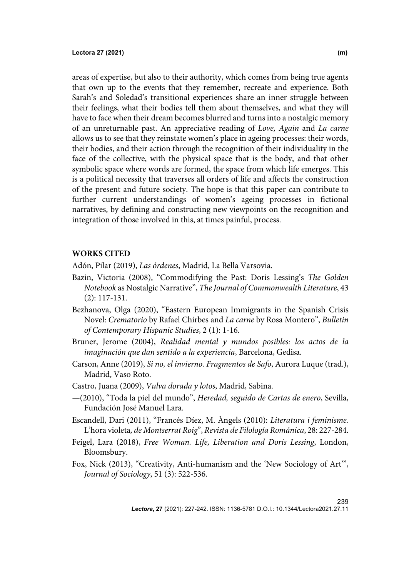areas of expertise, but also to their authority, which comes from being true agents that own up to the events that they remember, recreate and experience. Both Sarah's and Soledad's transitional experiences share an inner struggle between their feelings, what their bodies tell them about themselves, and what they will have to face when their dream becomes blurred and turns into a nostalgic memory of an unreturnable past. An appreciative reading of *Love, Again* and *La carne* allows us to see that they reinstate women's place in ageing processes: their words, their bodies, and their action through the recognition of their individuality in the face of the collective, with the physical space that is the body, and that other symbolic space where words are formed, the space from which life emerges. This is a political necessity that traverses all orders of life and affects the construction of the present and future society. The hope is that this paper can contribute to further current understandings of women's ageing processes in fictional narratives, by defining and constructing new viewpoints on the recognition and integration of those involved in this, at times painful, process.

### **WORKS CITED**

Adón, Pilar (2019), *Las órdenes*, Madrid, La Bella Varsovia.

- Bazin, Victoria (2008), "Commodifying the Past: Doris Lessing's *The Golden Notebook* as Nostalgic Narrative", *The Journal of Commonwealth Literature*, 43 (2): 117-131.
- Bezhanova, Olga (2020), "Eastern European Immigrants in the Spanish Crisis Novel: *Crematorio* by Rafael Chirbes and *La carne* by Rosa Montero", *Bulletin of Contemporary Hispanic Studies*, 2 (1): 1-16.
- Bruner, Jerome (2004), *Realidad mental y mundos posibles: los actos de la imaginación que dan sentido a la experiencia*, Barcelona, Gedisa.
- Carson, Anne (2019), *Si no, el invierno. Fragmentos de Safo*, Aurora Luque (trad.), Madrid, Vaso Roto.
- Castro, Juana (2009), *Vulva dorada y lotos*, Madrid, Sabina.
- —(2010), "Toda la piel del mundo", *Heredad, seguido de Cartas de enero*, Sevilla, Fundación José Manuel Lara.
- Escandell, Dari (2011), "Francés Díez, M. Àngels (2010): *Literatura i feminisme.*  L'hora violeta*, de Montserrat Roig*", *Revista de Filología Románica*, 28: 227-284.
- Feigel, Lara (2018), *Free Woman. Life, Liberation and Doris Lessing*, London, Bloomsbury.
- Fox, Nick (2013), "Creativity, Anti-humanism and the 'New Sociology of Art'", *Journal of Sociology*, 51 (3): 522-536.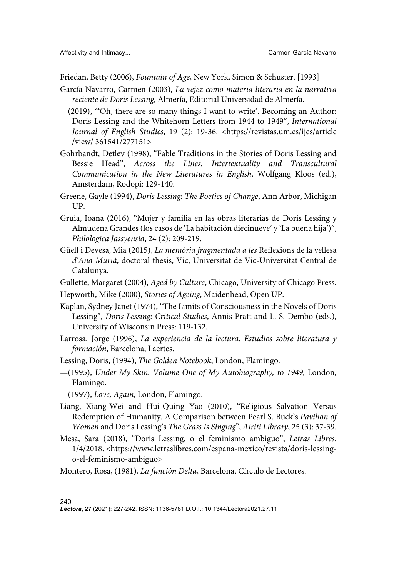Friedan, Betty (2006), *Fountain of Age*, New York, Simon & Schuster. [1993]

- García Navarro, Carmen (2003), *La vejez como materia literaria en la narrativa reciente de Doris Lessing*, Almería, Editorial Universidad de Almería.
- $-(2019)$ , "Oh, there are so many things I want to write'. Becoming an Author: Doris Lessing and the Whitehorn Letters from 1944 to 1949", *International Journal of English Studies*, 19 (2): 19-36. <https://revistas.um.es/ijes/article /view/ 361541/277151>
- Gohrbandt, Detlev (1998), "Fable Traditions in the Stories of Doris Lessing and Bessie Head", *Across the Lines. Intertextuality and Transcultural Communication in the New Literatures in English*, Wolfgang Kloos (ed.), Amsterdam, Rodopi: 129-140.
- Greene, Gayle (1994), *Doris Lessing: The Poetics of Change*, Ann Arbor, Michigan UP.
- Gruia, Ioana (2016), "Mujer y familia en las obras literarias de Doris Lessing y Almudena Grandes (los casos de 'La habitación diecinueve' y 'La buena hija')", *Philologica Jassyensia*, 24 (2): 209-219.
- Güell i Devesa, Mia (2015), *La memòria fragmentada a les* Reflexions de la vellesa *d'Ana Murià*, doctoral thesis, Vic, Universitat de Vic-Universitat Central de Catalunya.
- Gullette, Margaret (2004), *Aged by Culture*, Chicago, University of Chicago Press.
- Hepworth, Mike (2000), *Stories of Ageing*, Maidenhead, Open UP.
- Kaplan, Sydney Janet (1974), "The Limits of Consciousness in the Novels of Doris Lessing", *Doris Lessing: Critical Studies*, Annis Pratt and L. S. Dembo (eds.), University of Wisconsin Press: 119-132.
- Larrosa, Jorge (1996), *La experiencia de la lectura. Estudios sobre literatura y formación*, Barcelona, Laertes.
- Lessing, Doris, (1994), *The Golden Notebook*, London, Flamingo.
- —(1995), *Under My Skin. Volume One of My Autobiography, to 1949*, London, Flamingo.
- —(1997), *Love, Again*, London, Flamingo.
- Liang, Xiang-Wei and Hui-Quing Yao (2010), "Religious Salvation Versus Redemption of Humanity. A Comparison between Pearl S. Buck's *Pavilion of Women* and Doris Lessing's *The Grass Is Singing*", *Airiti Library*, 25 (3): 37-39.
- Mesa, Sara (2018), "Doris Lessing, o el feminismo ambiguo", *Letras Libres*, 1/4/2018. <https://www.letraslibres.com/espana-mexico/revista/doris-lessingo-el-feminismo-ambiguo>
- Montero, Rosa, (1981), *La función Delta*, Barcelona, Círculo de Lectores.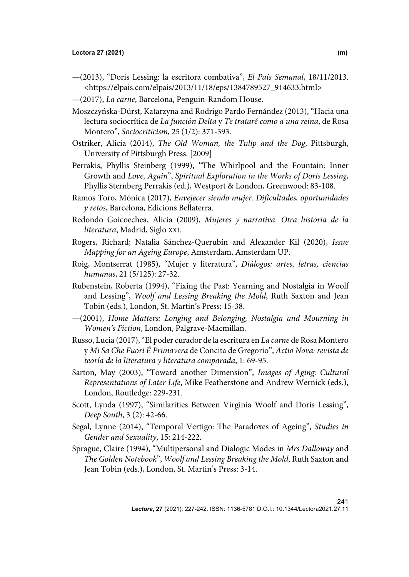- —(2013), "Doris Lessing: la escritora combativa", *El País Semanal*, 18/11/2013. <https://elpais.com/elpais/2013/11/18/eps/1384789527\_914633.html>
- —(2017), *La carne*, Barcelona, Penguin-Random House.
- Moszczyńska-Dürst, Katarzyna and Rodrigo Pardo Fernández (2013), "Hacia una lectura sociocrítica de *La función Delta* y *Te trataré como a una reina*, de Rosa Montero", *Sociocriticism*, 25 (1/2): 371-393.
- Ostriker, Alicia (2014), *The Old Woman, the Tulip and the Dog*, Pittsburgh, University of Pittsburgh Press. [2009]
- Perrakis, Phyllis Steinberg (1999), "The Whirlpool and the Fountain: Inner Growth and *Love, Again*", *Spiritual Exploration in the Works of Doris Lessing*, Phyllis Sternberg Perrakis (ed.), Westport & London, Greenwood: 83-108.
- Ramos Toro, Mónica (2017), *Envejecer siendo mujer. Dificultades, oportunidades y retos*, Barcelona, Edicions Bellaterra.
- Redondo Goicoechea, Alicia (2009), *Mujeres y narrativa. Otra historia de la literatura*, Madrid, Siglo XXI.
- Rogers, Richard; Natalia Sánchez-Querubín and Alexander Kil (2020), *Issue Mapping for an Ageing Europe*, Amsterdam, Amsterdam UP.
- Roig, Montserrat (1985), "Mujer y literatura", *Diálogos: artes, letras, ciencias humanas*, 21 (5/125): 27-32.
- Rubenstein, Roberta (1994), "Fixing the Past: Yearning and Nostalgia in Woolf and Lessing", *Woolf and Lessing Breaking the Mold*, Ruth Saxton and Jean Tobin (eds.), London, St. Martin's Press: 15-38.
- —(2001), *Home Matters: Longing and Belonging, Nostalgia and Mourning in Women's Fiction*, London, Palgrave-Macmillan.
- Russo, Lucia (2017), "El poder curador de la escritura en *La carne* de Rosa Montero y *Mi Sa Che Fuori É Primavera* de Concita de Gregorio", *Actio Nova: revista de teoría de la literatura y literatura comparada*, 1: 69-95.
- Sarton, May (2003), "Toward another Dimension", *Images of Aging: Cultural Representations of Later Life*, Mike Featherstone and Andrew Wernick (eds.), London, Routledge: 229-231.
- Scott, Lynda (1997), "Similarities Between Virginia Woolf and Doris Lessing", *Deep South*, 3 (2): 42-66.
- Segal, Lynne (2014), "Temporal Vertigo: The Paradoxes of Ageing", *Studies in Gender and Sexuality*, 15: 214-222.
- Sprague, Claire (1994), "Multipersonal and Dialogic Modes in *Mrs Dalloway* and *The Golden Notebook*", *Woolf and Lessing Breaking the Mold*, Ruth Saxton and Jean Tobin (eds.), London, St. Martin's Press: 3-14.